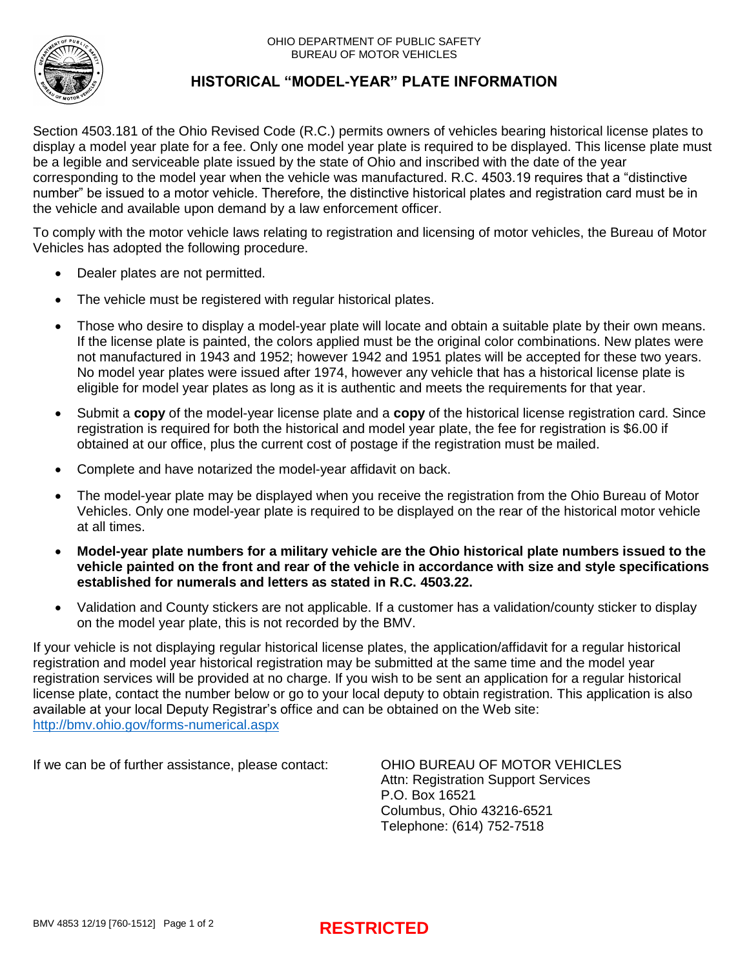

# **HISTORICAL "MODEL-YEAR" PLATE INFORMATION**

Section 4503.181 of the Ohio Revised Code (R.C.) permits owners of vehicles bearing historical license plates to display a model year plate for a fee. Only one model year plate is required to be displayed. This license plate must be a legible and serviceable plate issued by the state of Ohio and inscribed with the date of the year corresponding to the model year when the vehicle was manufactured. R.C. 4503.19 requires that a "distinctive number" be issued to a motor vehicle. Therefore, the distinctive historical plates and registration card must be in the vehicle and available upon demand by a law enforcement officer.

To comply with the motor vehicle laws relating to registration and licensing of motor vehicles, the Bureau of Motor Vehicles has adopted the following procedure.

- Dealer plates are not permitted.
- The vehicle must be registered with regular historical plates.
- Those who desire to display a model-year plate will locate and obtain a suitable plate by their own means. If the license plate is painted, the colors applied must be the original color combinations. New plates were not manufactured in 1943 and 1952; however 1942 and 1951 plates will be accepted for these two years. No model year plates were issued after 1974, however any vehicle that has a historical license plate is eligible for model year plates as long as it is authentic and meets the requirements for that year.
- Submit a **copy** of the model-year license plate and a **copy** of the historical license registration card. Since registration is required for both the historical and model year plate, the fee for registration is \$6.00 if obtained at our office, plus the current cost of postage if the registration must be mailed.
- Complete and have notarized the model-year affidavit on back.
- The model-year plate may be displayed when you receive the registration from the Ohio Bureau of Motor Vehicles. Only one model-year plate is required to be displayed on the rear of the historical motor vehicle at all times.
- **Model-year plate numbers for a military vehicle are the Ohio historical plate numbers issued to the vehicle painted on the front and rear of the vehicle in accordance with size and style specifications established for numerals and letters as stated in R.C. 4503.22.**
- Validation and County stickers are not applicable. If a customer has a validation/county sticker to display on the model year plate, this is not recorded by the BMV.

If your vehicle is not displaying regular historical license plates, the application/affidavit for a regular historical registration and model year historical registration may be submitted at the same time and the model year registration services will be provided at no charge. If you wish to be sent an application for a regular historical license plate, contact the number below or go to your local deputy to obtain registration. This application is also available at your local Deputy Registrar's office and can be obtained on the Web site: <http://bmv.ohio.gov/forms-numerical.aspx>

If we can be of further assistance, please contact: OHIO BUREAU OF MOTOR VEHICLES

Attn: Registration Support Services P.O. Box 16521 Columbus, Ohio 43216-6521 Telephone: (614) 752-7518